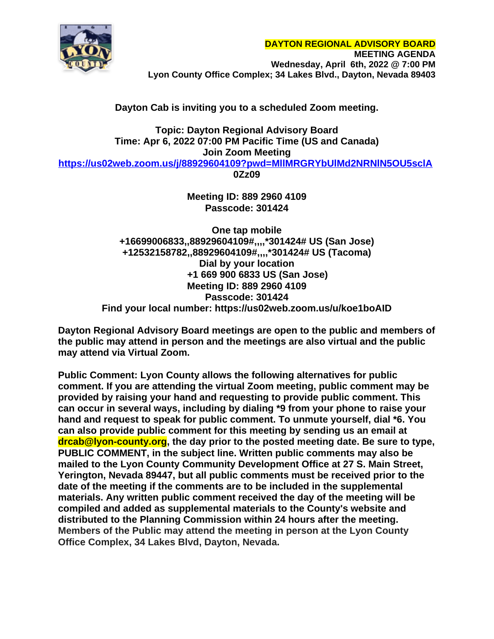

# **Dayton Cab is inviting you to a scheduled Zoom meeting.**

**Topic: Dayton Regional Advisory Board Time: Apr 6, 2022 07:00 PM Pacific Time (US and Canada) Join Zoom Meeting <https://us02web.zoom.us/j/88929604109?pwd=MllMRGRYbUlMd2NRNlN5OU5sclA> 0Zz09**

> **Meeting ID: 889 2960 4109 Passcode: 301424**

**One tap mobile +16699006833,,88929604109#,,,,\*301424# US (San Jose) +12532158782,,88929604109#,,,,\*301424# US (Tacoma) Dial by your location +1 669 900 6833 US (San Jose) Meeting ID: 889 2960 4109 Passcode: 301424 Find your local number: https://us02web.zoom.us/u/koe1boAID**

**Dayton Regional Advisory Board meetings are open to the public and members of the public may attend in person and the meetings are also virtual and the public may attend via Virtual Zoom.**

**Public Comment: Lyon County allows the following alternatives for public comment. If you are attending the virtual Zoom meeting, public comment may be provided by raising your hand and requesting to provide public comment. This can occur in several ways, including by dialing \*9 from your phone to raise your hand and request to speak for public comment. To unmute yourself, dial \*6. You can also provide public comment for this meeting by sending us an email at drcab@lyon-county.org, the day prior to the posted meeting date. Be sure to type, PUBLIC COMMENT, in the subject line. Written public comments may also be mailed to the Lyon County Community Development Office at 27 S. Main Street, Yerington, Nevada 89447, but all public comments must be received prior to the date of the meeting if the comments are to be included in the supplemental materials. Any written public comment received the day of the meeting will be compiled and added as supplemental materials to the County's website and distributed to the Planning Commission within 24 hours after the meeting. Members of the Public may attend the meeting in person at the Lyon County Office Complex, 34 Lakes Blvd, Dayton, Nevada.**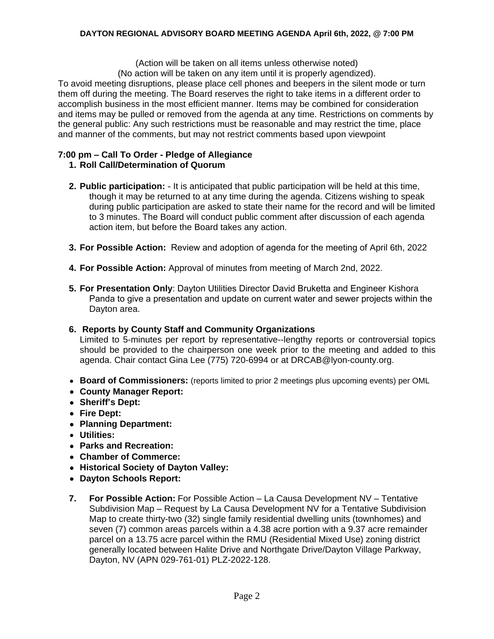#### **DAYTON REGIONAL ADVISORY BOARD MEETING AGENDA April 6th, 2022, @ 7:00 PM**

(Action will be taken on all items unless otherwise noted)

(No action will be taken on any item until it is properly agendized).

To avoid meeting disruptions, please place cell phones and beepers in the silent mode or turn them off during the meeting. The Board reserves the right to take items in a different order to accomplish business in the most efficient manner. Items may be combined for consideration and items may be pulled or removed from the agenda at any time. Restrictions on comments by the general public: Any such restrictions must be reasonable and may restrict the time, place and manner of the comments, but may not restrict comments based upon viewpoint

## **7:00 pm – Call To Order - Pledge of Allegiance**

### **1. Roll Call/Determination of Quorum**

- **2. Public participation:** It is anticipated that public participation will be held at this time, though it may be returned to at any time during the agenda. Citizens wishing to speak during public participation are asked to state their name for the record and will be limited to 3 minutes. The Board will conduct public comment after discussion of each agenda action item, but before the Board takes any action.
- **3. For Possible Action:** Review and adoption of agenda for the meeting of April 6th, 2022
- **4. For Possible Action:** Approval of minutes from meeting of March 2nd, 2022.
- **5. For Presentation Only**: Dayton Utilities Director David Bruketta and Engineer Kishora Panda to give a presentation and update on current water and sewer projects within the Dayton area.

### **6. Reports by County Staff and Community Organizations**

Limited to 5-minutes per report by representative--lengthy reports or controversial topics should be provided to the chairperson one week prior to the meeting and added to this agenda. Chair contact Gina Lee (775) 720-6994 or at [DRCAB@lyon-county.org.](mailto:DRCAB@lyon-county.org)

- **Board of Commissioners:** (reports limited to prior 2 meetings plus upcoming events) per OML
- **County Manager Report:**
- **Sheriff's Dept:**
- **Fire Dept:**
- **Planning Department:**
- **Utilities:**
- **Parks and Recreation:**
- **Chamber of Commerce:**
- **Historical Society of Dayton Valley:**
- **Dayton Schools Report:**
- **7. For Possible Action:** For Possible Action La Causa Development NV Tentative Subdivision Map – Request by La Causa Development NV for a Tentative Subdivision Map to create thirty-two (32) single family residential dwelling units (townhomes) and seven (7) common areas parcels within a 4.38 acre portion with a 9.37 acre remainder parcel on a 13.75 acre parcel within the RMU (Residential Mixed Use) zoning district generally located between Halite Drive and Northgate Drive/Dayton Village Parkway, Dayton, NV (APN 029-761-01) PLZ-2022-128.